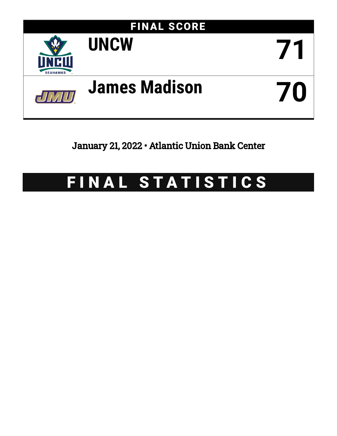

January 21, 2022 • Atlantic Union Bank Center

# FINAL STATISTICS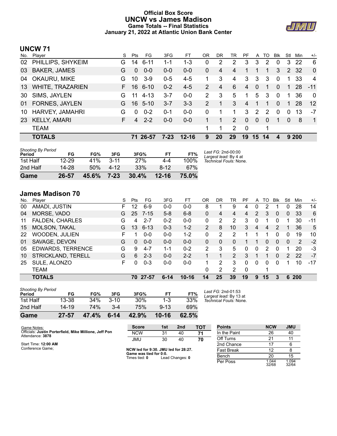# **Official Box Score UNCW vs James Madison Game Totals -- Final Statistics January 21, 2022 at Atlantic Union Bank Center**



# **UNCW 71**

| No. | Player                  | S  | Pts      | FG.      | 3FG      | FT        | ΟR            | DR | TR             | PF       | A            | TO | <b>Blk</b>     | Stl         | Min  | $+/-$          |
|-----|-------------------------|----|----------|----------|----------|-----------|---------------|----|----------------|----------|--------------|----|----------------|-------------|------|----------------|
| 02  | PHILLIPS, SHYKEIM       | G. | 14       | $6 - 11$ | 1-1      | $1 - 3$   | 0             | 2  | 2              | 3        | 3            | 2  | $\Omega$       | 3           | 22   | 6              |
| 03  | <b>BAKER, JAMES</b>     | G  | $\Omega$ | $0 - 0$  | $0 - 0$  | $0 - 0$   | 0             | 4  | 4              |          |              | 1  | 3              | $2^{\circ}$ | -32  | $\mathbf{0}$   |
| 04  | OKAURU, MIKE            | G  | 10       | $3-9$    | $0 - 5$  | $4 - 5$   |               | 3  | 4              | 3        | 3            | 3  | $\Omega$       |             | 33   | 4              |
| 13  | <b>WHITE, TRAZARIEN</b> | F. | 16       | $6 - 10$ | $0 - 2$  | $4 - 5$   | $\mathcal{P}$ | 4  | 6              | 4        | $\Omega$     | 1  | $\overline{0}$ | 1           | 28   | $-11$          |
| 30  | SIMS, JAYLEN            | G  | 11       | $4 - 13$ | $3 - 7$  | $0-0$     | 2             | 3  | 5              | 1        | 5            | 3  | $\mathbf 0$    | 1           | 36   | $\mathbf{0}$   |
| 01  | <b>FORNES, JAYLEN</b>   | G. | 16.      | $5-10$   | $3 - 7$  | $3 - 3$   | 2             | 1  | 3              | 4        | $\mathbf{1}$ | 1  | $\Omega$       | 1.          | 28   | 12             |
| 10  | <b>HARVEY, JAMAHRI</b>  | G  | $\Omega$ | $0 - 2$  | 0-1      | $0 - 0$   | 0             | 1  | 1              | 3        | 2            | 2  | $\Omega$       | 0           | 13   | -7             |
| 23  | <b>KELLY, AMARI</b>     | F. | 4        | $2 - 2$  | $0 - 0$  | $0 - 0$   |               | 1  | 2              | $\Omega$ | $\Omega$     | 0  | 1              | $\Omega$    | 8    | $\overline{1}$ |
|     | <b>TEAM</b>             |    |          |          |          |           | 1.            | 1  | $\overline{2}$ | $\Omega$ |              | 1  |                |             |      |                |
|     | <b>TOTALS</b>           |    |          | 71 26-57 | $7 - 23$ | $12 - 16$ | 9             | 20 | 29             | 19       | 15           | 14 | 4              |             | 9200 |                |
|     |                         |    |          |          |          |           |               |    |                |          |              |    |                |             |      |                |

| <b>Shooting By Period</b> |           |       |          |       |           |       |                                             |
|---------------------------|-----------|-------|----------|-------|-----------|-------|---------------------------------------------|
| Period                    | FG        | FG%   | 3FG      | 3FG%  | FT        | FT%   | Last FG: 2nd-00:00<br>Largest lead: By 4 at |
| 1st Half                  | $12 - 29$ | 41%   | $3 - 11$ | 27%   | 4-4       | 100%  | Technical Fouls: None.                      |
| 2nd Half                  | $14 - 28$ | 50%   | $4 - 12$ | 33%   | $8 - 12$  | 67%   |                                             |
| Game                      | 26-57     | 45.6% | $7 - 23$ | 30.4% | $12 - 16$ | 75.0% |                                             |

# **James Madison 70**

| No. | Plaver                   | S  | Pts | FG       | 3FG      | FТ        | OR            | DR | TR             | PF       | A        | TO | Blk           | Stl      | Min        | $+/-$ |
|-----|--------------------------|----|-----|----------|----------|-----------|---------------|----|----------------|----------|----------|----|---------------|----------|------------|-------|
| 00  | AMADI, JUSTIN            | F. | 12  | 6-9      | $0 - 0$  | $0 - 0$   | 8             |    | 9              | 4        | 0        | 2  |               | $\Omega$ | 28         | 14    |
| 04  | MORSE, VADO              | G  | 25  | $7 - 15$ | $5-8$    | $6 - 8$   | $\mathbf{0}$  | 4  | 4              | 4        | 2        | 3  | $\mathbf{0}$  | 0        | 33         | 6     |
| 11  | <b>FALDEN, CHARLES</b>   | G  | 4   | $2 - 7$  | $0 - 2$  | $0 - 0$   | 0             | 2  | 2              | 3        | 0        |    | 0             |          | 30         | $-11$ |
| 15  | MOLSON, TAKAL            | G  | 13  | $6 - 13$ | $0 - 3$  | $1 - 2$   | $\mathcal{P}$ | 8  | 10             | 3        | 4        | 4  | $\mathcal{P}$ |          | 36         | 5     |
| 22  | <b>WOODEN, JULIEN</b>    | F  |     | $0 - 0$  | $0 - 0$  | $1 - 2$   | 0             | 2  | $\mathcal{P}$  |          | 1        |    | $\Omega$      | $\Omega$ | 19         | 10    |
| 01  | SAVAGE, DEVON            | G  | 0   | $0 - 0$  | $0 - 0$  | $0 - 0$   | 0             | 0  | $\Omega$       |          |          | 0  | $\Omega$      | $\Omega$ | 2          | $-2$  |
| 05  | <b>EDWARDS, TERRENCE</b> | G  | 9   | $4 - 7$  | 1-1      | $0 - 2$   | 2             | 3  | 5              | 0        | 0        | 2  | $\Omega$      |          | 20         | $-3$  |
| 10  | STRICKLAND, TERELL       | G  | 6   | $2 - 3$  | $0 - 0$  | $2 - 2$   |               |    | $\overline{2}$ | 3        |          |    | 0             | 2        | 22         | $-7$  |
| 25  | SULE, ALONZO             | F  | 0   | $0 - 3$  | $0 - 0$  | $0 - 0$   |               | 2  | 3              | 0        | $\Omega$ | 0  | 0             |          | 10         | $-17$ |
|     | <b>TEAM</b>              |    |     |          |          |           | 0             | 2  | $\mathcal{P}$  | $\Omega$ |          |    |               |          |            |       |
|     | <b>TOTALS</b>            |    |     | 70 27-57 | $6 - 14$ | $10 - 16$ | 14            | 25 | 39             | 19       | 9        | 15 | 3             | 6        | <b>200</b> |       |

| Game                                | $27 - 57$ | 47.4% | $6 - 14$ | 42.9% | 10-16    | 62.5% |          |
|-------------------------------------|-----------|-------|----------|-------|----------|-------|----------|
| 2nd Half                            | 14-19     | 74%   | $3 - 4$  | 75%   | $9 - 13$ | 69%   |          |
| 1st Half                            | 13-38     | 34%   | $3 - 10$ | 30%   | $1 - 3$  | 33%   | Тe       |
| <b>Shooting By Period</b><br>Period | FG        | FG%   | 3FG      | 3FG%  | FT       | FT%   | La<br>La |

*Last FG:* 2nd-01:53 *Largest lead:* By 13 at *Technical Fouls:* None.

| Game Notes:                                                                | <b>Score</b>                            | 1st | 2 <sub>nd</sub> | тот | <b>Points</b>     | <b>NCW</b>     | <b>JMU</b>     |
|----------------------------------------------------------------------------|-----------------------------------------|-----|-----------------|-----|-------------------|----------------|----------------|
| Officials: Justin Porterfield, Mike Millione, Jeff Pon<br>Attendance: 3878 | <b>NCW</b>                              | 31  | 40              | 71  | In the Paint      | 26             | 40             |
|                                                                            | JMU                                     | 30  | 40              | 70  | Off Turns         | 21             |                |
| Start Time: 12:00 AM                                                       |                                         |     |                 |     | 2nd Chance        |                |                |
| Conference Game:                                                           | NCW led for 9:30. JMU led for 28:27.    |     |                 |     | <b>Fast Break</b> |                |                |
|                                                                            | Game was tied for 0:0.<br>Times tied: 0 |     | Lead Changes: 0 |     | Bench             | 20             | 15             |
|                                                                            |                                         |     |                 |     | Per Poss          | 1.044<br>32/68 | 1.094<br>32/64 |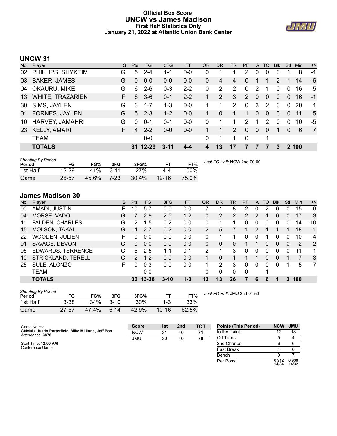# **Official Box Score UNCW vs James Madison First Half Statistics Only January 21, 2022 at Atlantic Union Bank Center**



# **UNCW 31**

| No. | Plaver                  | S. | <b>Pts</b> | FG.      | 3FG      | <b>FT</b> | OR | <b>DR</b> | <b>TR</b>      | <b>PF</b>     | $\mathsf{A}$ | TO            | <b>BIK</b>     | Stl      | <b>Min</b> | $+/-$          |
|-----|-------------------------|----|------------|----------|----------|-----------|----|-----------|----------------|---------------|--------------|---------------|----------------|----------|------------|----------------|
| 02  | PHILLIPS, SHYKEIM       | G  | 5          | $2 - 4$  | 1-1      | $0 - 0$   | 0  |           |                | 2             | 0            | 0             | 0              |          | 8          | -1             |
| 03  | <b>BAKER, JAMES</b>     | G  | $\Omega$   | $0 - 0$  | $0 - 0$  | $0-0$     | 0  | 4         | 4              | $\Omega$      |              |               | 2              |          | 14         | -6             |
| 04  | OKAURU, MIKE            | G  | 6          | $2-6$    | $0 - 3$  | $2 - 2$   | 0  | 2         | $\overline{2}$ | $\Omega$      | 2            | 1             | $\Omega$       | 0        | 16         | 5              |
| 13  | <b>WHITE, TRAZARIEN</b> | F. | 8          | $3-6$    | $0 - 1$  | $2 - 2$   |    | 2         | 3              | 2             | $\Omega$     | 0             | $\overline{0}$ | 0        | 16         | $-1$           |
| 30  | SIMS, JAYLEN            | G  | 3          | $1 - 7$  | $1 - 3$  | $0 - 0$   |    | 1         | $\overline{2}$ | $\Omega$      | 3            | $\mathcal{P}$ | $\Omega$       | $\Omega$ | 20         | 1              |
| 01  | <b>FORNES, JAYLEN</b>   | G  | 5          | $2 - 3$  | $1 - 2$  | $0 - 0$   |    | $\Omega$  | 1              | 1             | $\Omega$     | $\Omega$      | $\Omega$       | $\Omega$ | 11         | 5              |
| 10  | <b>HARVEY, JAMAHRI</b>  | G  | $\Omega$   | $0 - 1$  | 0-1      | $0-0$     | 0  |           | 1              | $\mathcal{P}$ |              | 2             | $\Omega$       | 0        | 10         | -5             |
| 23  | <b>KELLY, AMARI</b>     | F. | 4          | $2 - 2$  | $0 - 0$  | $0 - 0$   |    | 1         | 2              | $\Omega$      | $\mathbf{0}$ | $\Omega$      | 1              | $\Omega$ | 6          | $\overline{7}$ |
|     | <b>TEAM</b>             |    |            | $0-0$    |          |           | 0  | 1         | 1              | $\mathbf 0$   |              | 1             |                |          |            |                |
|     | <b>TOTALS</b>           |    |            | 31 12-29 | $3 - 11$ | $4 - 4$   | 4  | 13        | 17             | 7             | 7            |               | 3              |          | 2 100      |                |

| <b>Shooting By Period</b><br>Period | FG        | FG%   | 3FG    | 3FG%       |           | FT%   | Last FG Half: NCW 2nd-00:00 |
|-------------------------------------|-----------|-------|--------|------------|-----------|-------|-----------------------------|
| 1st Half                            | $12 - 29$ | 41%   | $3-11$ | <b>27%</b> | 4-4       | 100%  |                             |
| Game                                | 26-57     | 45.6% | 7-23   | $30.4\%$   | $12 - 16$ | 75.0% |                             |

# **James Madison 30**

| No. | Plaver                   | S  | <b>Pts</b>    | <b>FG</b> | 3FG      | <b>FT</b> | <b>OR</b>      | <b>DR</b> | TR       | PF       | A | TO | <b>Blk</b> | Stl | Min | $+/-$ |
|-----|--------------------------|----|---------------|-----------|----------|-----------|----------------|-----------|----------|----------|---|----|------------|-----|-----|-------|
| 00  | AMADI, JUSTIN            | F. | 10            | $5 - 7$   | $0 - 0$  | $0 - 0$   |                |           | 8        | 2        | 0 | 2  | 0          | 0   | 15  | 6     |
| 04  | MORSE, VADO              | G  |               | $2 - 9$   | $2 - 5$  | $1 - 2$   | 0              | 2         | 2        | 2        | 2 |    | 0          | 0   | 17  | 3     |
| 11  | <b>FALDEN, CHARLES</b>   | G  | $\mathcal{P}$ | 1-5       | $0 - 2$  | $0 - 0$   | 0              |           |          |          | 0 | 0  | 0          | o   | 14  | $-10$ |
| 15  | <b>MOLSON, TAKAL</b>     | G  | 4             | $2 - 7$   | $0 - 2$  | $0 - 0$   | $\overline{2}$ | 5         |          |          | 2 |    |            |     | 18  | $-1$  |
| 22  | <b>WOODEN, JULIEN</b>    | F  | 0             | $0 - 0$   | $0 - 0$  | $0 - 0$   | 0              |           |          | 0        | 0 |    | 0          | 0   | 10  | 4     |
| 01  | SAVAGE, DEVON            | G  | $\Omega$      | $0 - 0$   | $0 - 0$  | $0 - 0$   | 0              | 0         | 0        |          |   | 0  | $\Omega$   | 0   | 2   | $-2$  |
| 05  | <b>EDWARDS, TERRENCE</b> | G  | 5             | $2 - 5$   | $1 - 1$  | $0 - 1$   | 2              |           | 3        | 0        | 0 | 0  | 0          | 0   | 11  | $-1$  |
| 10  | STRICKLAND, TERELL       | G  | $\mathcal{P}$ | $1 - 2$   | $0 - 0$  | $0 - 0$   |                | 0         |          |          |   | 0  | $\Omega$   |     | 7   | 3     |
| 25  | SULE, ALONZO             | F. | U.            | $0 - 3$   | $0 - 0$  | $0 - 0$   | 1.             | 2         | 3        | 0        | 0 | 0  | 0          |     | 5   | $-7$  |
|     | <b>TEAM</b>              |    |               | $0 - 0$   |          |           | 0              | $\Omega$  | $\Omega$ | $\Omega$ |   | ◢  |            |     |     |       |
|     | <b>TOTALS</b>            |    | 30            | $13 - 38$ | $3 - 10$ | $1 - 3$   | 13             | 13        | 26       |          | 6 | 6  |            | 3   | 100 |       |

| <b>Shooting By Period</b><br>Period | FG        | FG%   | 3FG      | 3FG%  | FТ        | FT%   |  |
|-------------------------------------|-----------|-------|----------|-------|-----------|-------|--|
| 1st Half                            | 13-38     | 34%   | $3 - 10$ | 30%   | $1 - 3$   | 33%   |  |
| Game                                | $27 - 57$ | 47.4% | $6-14$   | 42.9% | $10 - 16$ | 62.5% |  |

*Last FG Half:* JMU 2nd-01:53

| Game Notes:                                                                | <b>Score</b> | 1st | 2 <sub>nd</sub> | <b>TOT</b> | <b>Points (This Period)</b> | <b>NCW</b>     | <b>JMU</b>     |
|----------------------------------------------------------------------------|--------------|-----|-----------------|------------|-----------------------------|----------------|----------------|
| Officials: Justin Porterfield, Mike Millione, Jeff Pon<br>Attendance: 3878 | <b>NCW</b>   | 31  | 40              | 71         | In the Paint                |                | 18             |
|                                                                            | <b>JMU</b>   | 30  | 40              | 70         | Off Turns                   |                |                |
| Start Time: 12:00 AM                                                       |              |     |                 |            | 2nd Chance                  |                |                |
| Conference Game:                                                           |              |     |                 |            | <b>Fast Break</b>           |                |                |
|                                                                            |              |     |                 |            | Bench                       |                |                |
|                                                                            |              |     |                 |            | Per Poss                    | 0.912<br>14/34 | 0.938<br>14/32 |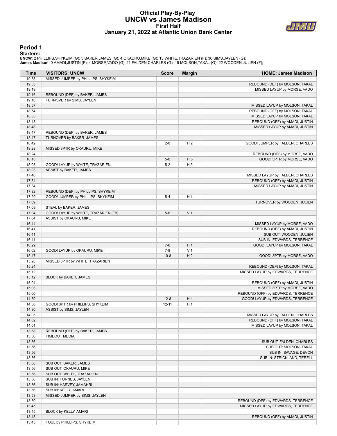### **Official Play-By-Play UNCW vs James Madison First Half January 21, 2022 at Atlantic Union Bank Center**



#### **Period 1**

<mark>Starters:</mark><br>UNCW: 2 PHILLIPS,SHYKEIM (G); 3 BAKER,JAMES (G); 4 OKAURU,MIKE (G); 13 WHITE,TRAZARIEN (F); 30 SIMS,JAYLEN (G);<br>James Madison: 0 AMADI,JUSTIN (F); 4 MORSE,VADO (G); 11 FALDEN,CHARLES (G); 15 MOLSON,TAKAL (G);

| Time           | <b>VISITORS: UNCW</b>                                     | <b>Score</b>          | <b>Margin</b>        | <b>HOME: James Madison</b>                                |
|----------------|-----------------------------------------------------------|-----------------------|----------------------|-----------------------------------------------------------|
| 19:38          | MISSED JUMPER by PHILLIPS, SHYKEIM                        |                       |                      |                                                           |
| 19:33          |                                                           |                       |                      | REBOUND (DEF) by MOLSON, TAKAL                            |
| 19:19          |                                                           |                       |                      | MISSED LAYUP by MORSE, VADO                               |
| 19:16          | REBOUND (DEF) by BAKER, JAMES                             |                       |                      |                                                           |
| 19:10          | TURNOVER by SIMS, JAYLEN                                  |                       |                      |                                                           |
| 18:57          |                                                           |                       |                      | MISSED LAYUP by MOLSON, TAKAL                             |
| 18:54          |                                                           |                       |                      | REBOUND (OFF) by MOLSON, TAKAL                            |
| 18:53          |                                                           |                       |                      | MISSED LAYUP by MOLSON, TAKAL                             |
| 18:48          |                                                           |                       |                      | REBOUND (OFF) by AMADI, JUSTIN                            |
| 18:48          |                                                           |                       |                      | MISSED LAYUP by AMADI, JUSTIN                             |
| 18:47          | REBOUND (DEF) by BAKER, JAMES                             |                       |                      |                                                           |
| 18:47          | TURNOVER by BAKER, JAMES                                  |                       |                      |                                                           |
| 18:42          |                                                           | $2 - 0$               | H <sub>2</sub>       | GOOD! JUMPER by FALDEN, CHARLES                           |
| 18:28<br>18:24 | MISSED 3PTR by OKAURU, MIKE                               |                       |                      |                                                           |
| 18:18          |                                                           | $5-0$                 | H <sub>5</sub>       | REBOUND (DEF) by MORSE, VADO<br>GOOD! 3PTR by MORSE, VADO |
| 18:03          | GOOD! LAYUP by WHITE, TRAZARIEN                           | $5-2$                 | $H_3$                |                                                           |
| 18:03          | ASSIST by BAKER, JAMES                                    |                       |                      |                                                           |
| 17:40          |                                                           |                       |                      | MISSED LAYUP by FALDEN, CHARLES                           |
| 17:34          |                                                           |                       |                      | REBOUND (OFF) by AMADI, JUSTIN                            |
| 17:34          |                                                           |                       |                      | MISSED LAYUP by AMADI, JUSTIN                             |
| 17:32          | REBOUND (DEF) by PHILLIPS, SHYKEIM                        |                       |                      |                                                           |
| 17:29          | GOOD! JUMPER by PHILLIPS, SHYKEIM                         | $5 - 4$               | H <sub>1</sub>       |                                                           |
| 17:09          |                                                           |                       |                      | TURNOVER by WOODEN, JULIEN                                |
| 17:09          | STEAL by BAKER, JAMES                                     |                       |                      |                                                           |
| 17:04          | GOOD! LAYUP by WHITE, TRAZARIEN [FB]                      | $5-6$                 | V <sub>1</sub>       |                                                           |
| 17:04          | ASSIST by OKAURU, MIKE                                    |                       |                      |                                                           |
| 16:44          |                                                           |                       |                      | MISSED LAYUP by MORSE, VADO                               |
| 16:41          |                                                           |                       |                      | REBOUND (OFF) by AMADI, JUSTIN                            |
| 16:41          |                                                           |                       |                      | SUB OUT: WOODEN, JULIEN                                   |
| 16:41          |                                                           |                       |                      | SUB IN: EDWARDS, TERRENCE                                 |
| 16:29          |                                                           | $7-6$                 | H <sub>1</sub>       | GOOD! LAYUP by MOLSON, TAKAL                              |
| 16:02          | GOOD! LAYUP by OKAURU, MIKE                               | $7 - 8$               | V <sub>1</sub>       |                                                           |
| 15:47          |                                                           | $10-8$                | H <sub>2</sub>       | GOOD! 3PTR by MORSE, VADO                                 |
| 15:28          | MISSED 3PTR by WHITE, TRAZARIEN                           |                       |                      |                                                           |
| 15:24          |                                                           |                       |                      | REBOUND (DEF) by MOLSON, TAKAL                            |
| 15:12          |                                                           |                       |                      | MISSED LAYUP by EDWARDS, TERRENCE                         |
| 15:12          | BLOCK by BAKER, JAMES                                     |                       |                      |                                                           |
| 15:04          |                                                           |                       |                      | REBOUND (OFF) by AMADI, JUSTIN                            |
| 15:03          |                                                           |                       |                      | MISSED 3PTR by MORSE, VADO                                |
| 15:00          |                                                           |                       |                      | REBOUND (OFF) by EDWARDS, TERRENCE                        |
| 14:59<br>14:30 |                                                           | $12 - 8$<br>$12 - 11$ | H4<br>H <sub>1</sub> | GOOD! LAYUP by EDWARDS, TERRENCE                          |
| 14:30          | GOOD! 3PTR by PHILLIPS, SHYKEIM<br>ASSIST by SIMS, JAYLEN |                       |                      |                                                           |
| 14:05          |                                                           |                       |                      | MISSED LAYUP by FALDEN, CHARLES                           |
| 14:02          |                                                           |                       |                      | REBOUND (OFF) by MOLSON, TAKAL                            |
| 14:01          |                                                           |                       |                      | MISSED LAYUP by MOLSON, TAKAL                             |
| 13:58          | REBOUND (DEF) by BAKER, JAMES                             |                       |                      |                                                           |
| 13:56          | <b>TIMEOUT MEDIA</b>                                      |                       |                      |                                                           |
| 13:56          |                                                           |                       |                      | SUB OUT: FALDEN, CHARLES                                  |
| 13:56          |                                                           |                       |                      | SUB OUT: MOLSON, TAKAL                                    |
| 13:56          |                                                           |                       |                      | SUB IN: SAVAGE, DEVON                                     |
| 13:56          |                                                           |                       |                      | SUB IN: STRICKLAND, TERELL                                |
| 13:56          | SUB OUT: BAKER, JAMES                                     |                       |                      |                                                           |
| 13:56          | SUB OUT: OKAURU, MIKE                                     |                       |                      |                                                           |
| 13:56          | SUB OUT: WHITE, TRAZARIEN                                 |                       |                      |                                                           |
| 13:56          | SUB IN: FORNES, JAYLEN                                    |                       |                      |                                                           |
| 13:56          | SUB IN: HARVEY, JAMAHRI                                   |                       |                      |                                                           |
| 13:56          | SUB IN: KELLY, AMARI                                      |                       |                      |                                                           |
| 13:53          | MISSED JUMPER by SIMS, JAYLEN                             |                       |                      |                                                           |
| 13:50          |                                                           |                       |                      | REBOUND (DEF) by EDWARDS, TERRENCE                        |
| 13:45          |                                                           |                       |                      | MISSED LAYUP by EDWARDS, TERRENCE                         |
| 13:45          | BLOCK by KELLY, AMARI                                     |                       |                      |                                                           |
| 13:45          |                                                           |                       |                      | REBOUND (OFF) by AMADI, JUSTIN                            |
| 13:45          | FOUL by PHILLIPS, SHYKEIM                                 |                       |                      |                                                           |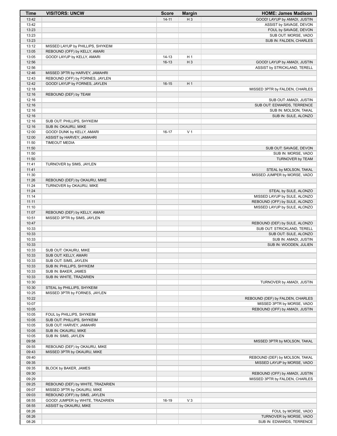| <b>Time</b>    | <b>VISITORS: UNCW</b>                                        | <b>Score</b> | <b>Margin</b>  | <b>HOME: James Madison</b>                      |
|----------------|--------------------------------------------------------------|--------------|----------------|-------------------------------------------------|
| 13:42          |                                                              | $14 - 11$    | $H_3$          | GOOD! LAYUP by AMADI, JUSTIN                    |
| 13:42          |                                                              |              |                | ASSIST by SAVAGE, DEVON                         |
| 13:23          |                                                              |              |                | FOUL by SAVAGE, DEVON                           |
| 13:23          |                                                              |              |                | SUB OUT: MORSE, VADO                            |
| 13:23          |                                                              |              |                | SUB IN: FALDEN, CHARLES                         |
| 13:12<br>13:05 | MISSED LAYUP by PHILLIPS, SHYKEIM                            |              |                |                                                 |
| 13:05          | REBOUND (OFF) by KELLY, AMARI<br>GOOD! LAYUP by KELLY, AMARI | $14 - 13$    | H <sub>1</sub> |                                                 |
| 12:56          |                                                              | $16-13$      | H <sub>3</sub> | GOOD! LAYUP by AMADI, JUSTIN                    |
| 12:56          |                                                              |              |                | ASSIST by STRICKLAND, TERELL                    |
| 12:46          | MISSED 3PTR by HARVEY, JAMAHRI                               |              |                |                                                 |
| 12:43          | REBOUND (OFF) by FORNES, JAYLEN                              |              |                |                                                 |
| 12:42          | GOOD! LAYUP by FORNES, JAYLEN                                | $16-15$      | H <sub>1</sub> |                                                 |
| 12:18          |                                                              |              |                | MISSED 3PTR by FALDEN, CHARLES                  |
| 12:16          | REBOUND (DEF) by TEAM                                        |              |                |                                                 |
| 12:16          |                                                              |              |                | SUB OUT: AMADI, JUSTIN                          |
| 12:16          |                                                              |              |                | SUB OUT: EDWARDS, TERRENCE                      |
| 12:16<br>12:16 |                                                              |              |                | SUB IN: MOLSON, TAKAL<br>SUB IN: SULE, ALONZO   |
| 12:16          | SUB OUT: PHILLIPS, SHYKEIM                                   |              |                |                                                 |
| 12:16          | SUB IN: OKAURU, MIKE                                         |              |                |                                                 |
| 12:00          | GOOD! DUNK by KELLY, AMARI                                   | $16-17$      | V <sub>1</sub> |                                                 |
| 12:00          | ASSIST by HARVEY, JAMAHRI                                    |              |                |                                                 |
| 11:50          | <b>TIMEOUT MEDIA</b>                                         |              |                |                                                 |
| 11:50          |                                                              |              |                | SUB OUT: SAVAGE, DEVON                          |
| 11:50          |                                                              |              |                | SUB IN: MORSE, VADO                             |
| 11:50          |                                                              |              |                | TURNOVER by TEAM                                |
| 11:41          | TURNOVER by SIMS, JAYLEN                                     |              |                |                                                 |
| 11:41          |                                                              |              |                | STEAL by MOLSON, TAKAL                          |
| 11:30<br>11:26 | REBOUND (DEF) by OKAURU, MIKE                                |              |                | MISSED JUMPER by MORSE, VADO                    |
| 11:24          | TURNOVER by OKAURU, MIKE                                     |              |                |                                                 |
| 11:24          |                                                              |              |                | STEAL by SULE, ALONZO                           |
| 11:14          |                                                              |              |                | MISSED LAYUP by SULE, ALONZO                    |
| 11:11          |                                                              |              |                | REBOUND (OFF) by SULE, ALONZO                   |
| 11:10          |                                                              |              |                | MISSED LAYUP by SULE, ALONZO                    |
| 11:07          | REBOUND (DEF) by KELLY, AMARI                                |              |                |                                                 |
| 10:51          | MISSED 3PTR by SIMS, JAYLEN                                  |              |                |                                                 |
| 10:47          |                                                              |              |                | REBOUND (DEF) by SULE, ALONZO                   |
| 10:33          |                                                              |              |                | SUB OUT: STRICKLAND, TERELL                     |
| 10:33<br>10:33 |                                                              |              |                | SUB OUT: SULE, ALONZO                           |
| 10:33          |                                                              |              |                | SUB IN: AMADI, JUSTIN<br>SUB IN: WOODEN, JULIEN |
| 10:33          | SUB OUT: OKAURU, MIKE                                        |              |                |                                                 |
| 10:33          | SUB OUT: KELLY, AMARI                                        |              |                |                                                 |
| 10:33          | SUB OUT: SIMS, JAYLEN                                        |              |                |                                                 |
| 10:33          | SUB IN: PHILLIPS, SHYKEIM                                    |              |                |                                                 |
| 10:33          | SUB IN: BAKER, JAMES                                         |              |                |                                                 |
| 10:33          | SUB IN: WHITE, TRAZARIEN                                     |              |                |                                                 |
| 10:30          |                                                              |              |                | TURNOVER by AMADI, JUSTIN                       |
| 10:30          | STEAL by PHILLIPS, SHYKEIM                                   |              |                |                                                 |
| 10:25<br>10:22 | MISSED 3PTR by FORNES, JAYLEN                                |              |                | REBOUND (DEF) by FALDEN, CHARLES                |
| 10:07          |                                                              |              |                | MISSED 3PTR by MORSE, VADO                      |
| 10:05          |                                                              |              |                | REBOUND (OFF) by AMADI, JUSTIN                  |
| 10:05          | FOUL by PHILLIPS, SHYKEIM                                    |              |                |                                                 |
| 10:05          | SUB OUT: PHILLIPS, SHYKEIM                                   |              |                |                                                 |
| 10:05          | SUB OUT: HARVEY, JAMAHRI                                     |              |                |                                                 |
| 10:05          | SUB IN: OKAURU, MIKE                                         |              |                |                                                 |
| 10:05          | SUB IN: SIMS, JAYLEN                                         |              |                |                                                 |
| 09:58          |                                                              |              |                | MISSED 3PTR by MOLSON, TAKAL                    |
| 09:55          | REBOUND (DEF) by OKAURU, MIKE                                |              |                |                                                 |
| 09:43<br>09:40 | MISSED 3PTR by OKAURU, MIKE                                  |              |                | REBOUND (DEF) by MOLSON, TAKAL                  |
| 09:35          |                                                              |              |                | MISSED LAYUP by MORSE, VADO                     |
| 09:35          | BLOCK by BAKER, JAMES                                        |              |                |                                                 |
| 09:30          |                                                              |              |                | REBOUND (OFF) by AMADI, JUSTIN                  |
| 09:29          |                                                              |              |                | MISSED 3PTR by FALDEN, CHARLES                  |
| 09:25          | REBOUND (DEF) by WHITE, TRAZARIEN                            |              |                |                                                 |
| 09:07          | MISSED 3PTR by OKAURU, MIKE                                  |              |                |                                                 |
| 09:03          | REBOUND (OFF) by SIMS, JAYLEN                                |              |                |                                                 |
| 08:55          | GOOD! JUMPER by WHITE, TRAZARIEN                             | 16-19        | $V_3$          |                                                 |
| 08:55          | ASSIST by OKAURU, MIKE                                       |              |                |                                                 |
| 08:26<br>08:26 |                                                              |              |                | FOUL by MORSE, VADO<br>TURNOVER by MORSE, VADO  |
| 08:26          |                                                              |              |                | SUB IN: EDWARDS, TERRENCE                       |
|                |                                                              |              |                |                                                 |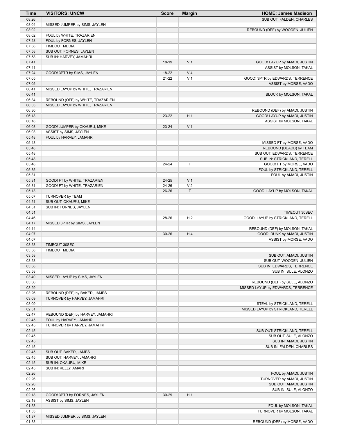| <b>Time</b>    | <b>VISITORS: UNCW</b>                                  | <b>Score</b> | <b>Margin</b>  | <b>HOME: James Madison</b>                                        |
|----------------|--------------------------------------------------------|--------------|----------------|-------------------------------------------------------------------|
| 08:26          |                                                        |              |                | SUB OUT: FALDEN, CHARLES                                          |
| 08:04          | MISSED JUMPER by SIMS, JAYLEN                          |              |                |                                                                   |
| 08:02          |                                                        |              |                | REBOUND (DEF) by WOODEN, JULIEN                                   |
| 08:02<br>07:58 | FOUL by WHITE, TRAZARIEN<br>FOUL by FORNES, JAYLEN     |              |                |                                                                   |
| 07:58          | <b>TIMEOUT MEDIA</b>                                   |              |                |                                                                   |
| 07:58          | SUB OUT: FORNES, JAYLEN                                |              |                |                                                                   |
| 07:58          | SUB IN: HARVEY, JAMAHRI                                |              |                |                                                                   |
| 07:41          |                                                        | 18-19        | V <sub>1</sub> | GOOD! LAYUP by AMADI, JUSTIN                                      |
| 07:41          |                                                        |              |                | ASSIST by MOLSON, TAKAL                                           |
| 07:24          | GOOD! 3PTR by SIMS, JAYLEN                             | 18-22        | V <sub>4</sub> |                                                                   |
| 07:05          |                                                        | $21 - 22$    | V <sub>1</sub> | GOOD! 3PTR by EDWARDS, TERRENCE                                   |
| 07:05<br>06:41 | MISSED LAYUP by WHITE, TRAZARIEN                       |              |                | ASSIST by MORSE, VADO                                             |
| 06:41          |                                                        |              |                | BLOCK by MOLSON, TAKAL                                            |
| 06:34          | REBOUND (OFF) by WHITE, TRAZARIEN                      |              |                |                                                                   |
| 06:33          | MISSED LAYUP by WHITE, TRAZARIEN                       |              |                |                                                                   |
| 06:30          |                                                        |              |                | REBOUND (DEF) by AMADI, JUSTIN                                    |
| 06:18          |                                                        | 23-22        | H <sub>1</sub> | GOOD! LAYUP by AMADI, JUSTIN                                      |
| 06:18          |                                                        |              |                | ASSIST by MOLSON, TAKAL                                           |
| 06:03<br>06:03 | GOOD! JUMPER by OKAURU, MIKE<br>ASSIST by SIMS, JAYLEN | 23-24        | V <sub>1</sub> |                                                                   |
| 05:48          | FOUL by HARVEY, JAMAHRI                                |              |                |                                                                   |
| 05:48          |                                                        |              |                | MISSED FT by MORSE, VADO                                          |
| 05:48          |                                                        |              |                | REBOUND (DEADB) by TEAM                                           |
| 05:48          |                                                        |              |                | SUB OUT: EDWARDS, TERRENCE                                        |
| 05:48          |                                                        |              |                | SUB IN: STRICKLAND, TERELL                                        |
| 05:48          |                                                        | 24-24        | $\mathsf T$    | GOOD! FT by MORSE, VADO                                           |
| 05:35          |                                                        |              |                | FOUL by STRICKLAND, TERELL                                        |
| 05:31          |                                                        |              |                | FOUL by AMADI, JUSTIN                                             |
| 05:31          | GOOD! FT by WHITE, TRAZARIEN                           | 24-25        | V <sub>1</sub> |                                                                   |
| 05:31          | GOOD! FT by WHITE, TRAZARIEN                           | 24-26        | V <sub>2</sub> |                                                                   |
| 05:13<br>05:07 | TURNOVER by TEAM                                       | 26-26        | $\mathsf T$    | GOOD! LAYUP by MOLSON, TAKAL                                      |
| 04:51          | SUB OUT: OKAURU, MIKE                                  |              |                |                                                                   |
| 04:51          | SUB IN: FORNES, JAYLEN                                 |              |                |                                                                   |
| 04:51          |                                                        |              |                | TIMEOUT 30SEC                                                     |
| 04:46          |                                                        | 28-26        | H <sub>2</sub> | GOOD! LAYUP by STRICKLAND, TERELL                                 |
| 04:17          | MISSED 3PTR by SIMS, JAYLEN                            |              |                |                                                                   |
| 04:14          |                                                        |              |                | REBOUND (DEF) by MOLSON, TAKAL                                    |
| 04:07          |                                                        | $30 - 26$    | H <sub>4</sub> | GOOD! DUNK by AMADI, JUSTIN                                       |
| 04:07          |                                                        |              |                | ASSIST by MORSE, VADO                                             |
| 03:58<br>03:58 | TIMEOUT 30SEC<br><b>TIMEOUT MEDIA</b>                  |              |                |                                                                   |
| 03:58          |                                                        |              |                | SUB OUT: AMADI, JUSTIN                                            |
| 03:58          |                                                        |              |                | SUB OUT: WOODEN, JULIEN                                           |
| 03:58          |                                                        |              |                | SUB IN: EDWARDS, TERRENCE                                         |
| 03:58          |                                                        |              |                | SUB IN: SULE, ALONZO                                              |
| 03:40          | MISSED LAYUP by SIMS, JAYLEN                           |              |                |                                                                   |
| 03:36          |                                                        |              |                | REBOUND (DEF) by SULE, ALONZO                                     |
| 03:29          |                                                        |              |                | MISSED LAYUP by EDWARDS, TERRENCE                                 |
| 03:26          | REBOUND (DEF) by BAKER, JAMES                          |              |                |                                                                   |
| 03:09          | TURNOVER by HARVEY, JAMAHRI                            |              |                |                                                                   |
| 03:09<br>02:51 |                                                        |              |                | STEAL by STRICKLAND, TERELL<br>MISSED LAYUP by STRICKLAND, TERELL |
| 02:47          | REBOUND (DEF) by HARVEY, JAMAHRI                       |              |                |                                                                   |
| 02:45          | FOUL by HARVEY, JAMAHRI                                |              |                |                                                                   |
| 02:45          | TURNOVER by HARVEY, JAMAHRI                            |              |                |                                                                   |
| 02:45          |                                                        |              |                | SUB OUT: STRICKLAND, TERELL                                       |
| 02:45          |                                                        |              |                | SUB OUT: SULE, ALONZO                                             |
| 02:45          |                                                        |              |                | SUB IN: AMADI, JUSTIN                                             |
| 02:45          |                                                        |              |                | SUB IN: FALDEN, CHARLES                                           |
| 02:45          | SUB OUT: BAKER, JAMES                                  |              |                |                                                                   |
| 02:45          | SUB OUT: HARVEY, JAMAHRI                               |              |                |                                                                   |
| 02:45<br>02:45 | SUB IN: OKAURU, MIKE<br>SUB IN: KELLY, AMARI           |              |                |                                                                   |
| 02:26          |                                                        |              |                | FOUL by AMADI, JUSTIN                                             |
| 02:26          |                                                        |              |                | TURNOVER by AMADI, JUSTIN                                         |
| 02:26          |                                                        |              |                | SUB OUT: AMADI, JUSTIN                                            |
| 02:26          |                                                        |              |                | SUB IN: SULE, ALONZO                                              |
| 02:18          | GOOD! 3PTR by FORNES, JAYLEN                           | 30-29        | H <sub>1</sub> |                                                                   |
| 02:18          | ASSIST by SIMS, JAYLEN                                 |              |                |                                                                   |
| 01:53          |                                                        |              |                | FOUL by MOLSON, TAKAL                                             |
| 01:53          |                                                        |              |                | TURNOVER by MOLSON, TAKAL                                         |
| 01:37          | MISSED JUMPER by SIMS, JAYLEN                          |              |                |                                                                   |
| 01:33          |                                                        |              |                | REBOUND (DEF) by MORSE, VADO                                      |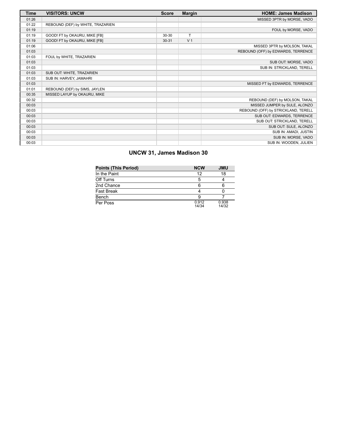| Time  | <b>VISITORS: UNCW</b>             | <b>Score</b> | <b>Margin</b>  | <b>HOME: James Madison</b>          |
|-------|-----------------------------------|--------------|----------------|-------------------------------------|
| 01:26 |                                   |              |                | MISSED 3PTR by MORSE, VADO          |
| 01:22 | REBOUND (DEF) by WHITE, TRAZARIEN |              |                |                                     |
| 01:19 |                                   |              |                | FOUL by MORSE, VADO                 |
| 01:19 | GOOD! FT by OKAURU, MIKE [FB]     | $30 - 30$    | T.             |                                     |
| 01:19 | GOOD! FT by OKAURU, MIKE [FB]     | $30 - 31$    | V <sub>1</sub> |                                     |
| 01:06 |                                   |              |                | MISSED 3PTR by MOLSON, TAKAL        |
| 01:03 |                                   |              |                | REBOUND (OFF) by EDWARDS, TERRENCE  |
| 01:03 | FOUL by WHITE, TRAZARIEN          |              |                |                                     |
| 01:03 |                                   |              |                | SUB OUT: MORSE, VADO                |
| 01:03 |                                   |              |                | SUB IN: STRICKLAND, TERELL          |
| 01:03 | SUB OUT: WHITE, TRAZARIEN         |              |                |                                     |
| 01:03 | SUB IN: HARVEY, JAMAHRI           |              |                |                                     |
| 01:03 |                                   |              |                | MISSED FT by EDWARDS, TERRENCE      |
| 01:01 | REBOUND (DEF) by SIMS, JAYLEN     |              |                |                                     |
| 00:35 | MISSED LAYUP by OKAURU, MIKE      |              |                |                                     |
| 00:32 |                                   |              |                | REBOUND (DEF) by MOLSON, TAKAL      |
| 00:03 |                                   |              |                | MISSED JUMPER by SULE, ALONZO       |
| 00:03 |                                   |              |                | REBOUND (OFF) by STRICKLAND, TERELL |
| 00:03 |                                   |              |                | SUB OUT: EDWARDS, TERRENCE          |
| 00:03 |                                   |              |                | SUB OUT: STRICKLAND, TERELL         |
| 00:03 |                                   |              |                | SUB OUT: SULE, ALONZO               |
| 00:03 |                                   |              |                | SUB IN: AMADI, JUSTIN               |
| 00:03 |                                   |              |                | SUB IN: MORSE, VADO                 |
| 00:03 |                                   |              |                | SUB IN: WOODEN, JULIEN              |

# **UNCW 31, James Madison 30**

| <b>Points (This Period)</b> | <b>NCW</b>     | <b>JMU</b>     |
|-----------------------------|----------------|----------------|
| In the Paint                | 12             | 18             |
| Off Turns                   |                |                |
| 2nd Chance                  |                |                |
| Fast Break                  |                |                |
| Bench                       |                |                |
| Per Poss                    | 0.912<br>14/34 | 0.938<br>14/32 |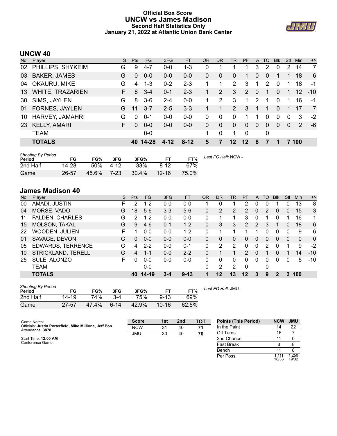# **Official Box Score UNCW vs James Madison Second Half Statistics Only January 21, 2022 at Atlantic Union Bank Center**



# **UNCW 40**

| No. | Player                  | S. | <b>Pts</b> | FG.       | 3FG      | <b>FT</b> | <b>OR</b> | <b>DR</b> | <b>TR</b>      | <b>PF</b> | A             | TO          | <b>Blk</b> | <b>Stl</b> | Min           | $+/-$ |
|-----|-------------------------|----|------------|-----------|----------|-----------|-----------|-----------|----------------|-----------|---------------|-------------|------------|------------|---------------|-------|
| 02  | PHILLIPS, SHYKEIM       | G  | 9          | $4 - 7$   | $0 - 0$  | $1 - 3$   | 0         |           |                |           | 3             | 2           | 0          | 2          | 14            | 7     |
| 03  | <b>BAKER, JAMES</b>     | G  | $\Omega$   | $0 - 0$   | $0-0$    | $0 - 0$   | 0         | $\Omega$  | $\Omega$       |           | 0             | $\Omega$    |            |            | 18            | -6    |
| 04  | OKAURU, MIKE            | G  | 4          | $1 - 3$   | $0 - 2$  | $2 - 3$   |           | 1         | $\overline{2}$ | 3         | -1            | 2           | $\Omega$   |            | 18            | -1    |
| 13  | <b>WHITE, TRAZARIEN</b> | F. | 8          | $3 - 4$   | $0 - 1$  | $2 - 3$   |           | 2         | 3              | 2         | $\mathbf{0}$  | 1           | $\Omega$   |            | 12            | $-10$ |
| 30  | SIMS, JAYLEN            | G  | 8          | $3-6$     | $2 - 4$  | $0-0$     | 1         | 2         | 3              | 1         | $\mathcal{P}$ | 1           | $\Omega$   |            | 16            | -1    |
| 01  | <b>FORNES, JAYLEN</b>   | G  | 11         | $3 - 7$   | $2 - 5$  | $3 - 3$   |           |           | $\overline{2}$ | 3         |               | 1           | $\Omega$   |            | 17            | 7     |
| 10  | HARVEY, JAMAHRI         | G  | $\Omega$   | $0 - 1$   | $0-0$    | $0 - 0$   | 0         | $\Omega$  | $\Omega$       |           |               | $\Omega$    | $\Omega$   | $\Omega$   | 3             | $-2$  |
| 23  | <b>KELLY, AMARI</b>     | F. | $\Omega$   | $0 - 0$   | $0 - 0$  | $0 - 0$   | 0         | $\Omega$  | $\mathbf{0}$   | $\Omega$  | $\Omega$      | $\Omega$    | $\Omega$   | $\Omega$   | $\mathcal{P}$ | -6    |
|     | <b>TEAM</b>             |    |            | $0-0$     |          |           |           | 0         | 1              | $\Omega$  |               | $\mathbf 0$ |            |            |               |       |
|     | <b>TOTALS</b>           |    | 40         | $14 - 28$ | $4 - 12$ | $8 - 12$  | 5         |           | $12 \,$        | 12        | 8             |             |            |            | 7 100         |       |

| <b>Shooting By Period</b><br>Period | FG    | FG%   | 3FG  | 3FG%  | FТ        | FT%   | Last FG Half: NCW - |
|-------------------------------------|-------|-------|------|-------|-----------|-------|---------------------|
| 2nd Half                            | 14-28 | 50%   | 4-12 | 33%   | 8-12      | 67%   |                     |
| Game                                | 26-57 | 45.6% | 7-23 | 30.4% | $12 - 16$ | 75.0% |                     |

# **James Madison 40**

| No. | Plaver                   | S  | <b>Pts</b> | FG      | 3FG     | <b>FT</b> | <b>OR</b> | <b>DR</b> | TR | PF             | A        | TO | <b>Blk</b> | Stl      | Min      | $+/-$          |
|-----|--------------------------|----|------------|---------|---------|-----------|-----------|-----------|----|----------------|----------|----|------------|----------|----------|----------------|
| 00  | AMADI, JUSTIN            | F  | 2          | $1 - 2$ | $0 - 0$ | $0 - 0$   |           | 0         |    | 2              | 0        | 0  |            | 0        | 13       | 8              |
| 04  | MORSE, VADO              | G  | 18         | $5-6$   | $3 - 3$ | $5-6$     | 0         | 2         | 2  | $\overline{2}$ | 0        | 2  | 0          | 0        | 15       | 3              |
| 11  | <b>FALDEN, CHARLES</b>   | G  | 2          | 1-2     | $0 - 0$ | $0 - 0$   | 0         |           |    | 3              | 0        |    |            |          | 16       | -1             |
| 15  | MOLSON, TAKAL            | G  | 9          | $4-6$   | $0 - 1$ | $1 - 2$   | 0         | 3         | 3  | 2              | 2        | 3  |            | 0        | 18       | 6              |
| 22  | <b>WOODEN, JULIEN</b>    | F  |            | $0 - 0$ | $0 - 0$ | $1 - 2$   | 0         |           |    |                |          | 0  | $\Omega$   | 0        | 9        | 6              |
| 01  | SAVAGE, DEVON            | G  | $\Omega$   | $0 - 0$ | $0 - 0$ | $0 - 0$   | 0         | 0         | 0  | 0              | $\Omega$ | 0  | $\Omega$   | 0        | $\Omega$ | $\overline{0}$ |
| 05  | <b>EDWARDS, TERRENCE</b> | G  | 4          | $2 - 2$ | $0 - 0$ | $0 - 1$   | 0         | 2         | 2  | <sup>0</sup>   | 0        | 2  | 0          |          | 9        | $-2$           |
| 10  | STRICKLAND, TERELL       | G  | 4          | $1 - 1$ | $0 - 0$ | $2 - 2$   | 0         |           |    | 2              | 0        |    | 0          |          | 14       | $-10$          |
| 25  | SULE, ALONZO             | F. | 0          | $0 - 0$ | $0 - 0$ | $0 - 0$   | 0         | $\Omega$  | 0  | $\Omega$       | 0        | 0  | $\Omega$   | $\Omega$ | 5        | $-10$          |
|     | TEAM                     |    |            | $0 - 0$ |         |           | 0         | 2         | 2  | $\Omega$       |          | 0  |            |          |          |                |
|     | <b>TOTALS</b>            |    | 40         | 14-19   | 3-4     | $9 - 13$  |           | 12        | 13 | 12             | 3        | 9  | 2          | 3        | 100      |                |

| <b>Shooting By Period</b><br>Period | FG    | FG%   | 3FG      | 3FG%  | FT        | FT%   |  |
|-------------------------------------|-------|-------|----------|-------|-----------|-------|--|
| 2nd Half                            | 14-19 | 74%   | $3-4$    | 75%   | $9 - 13$  | 69%   |  |
| Game                                | 27-57 | 47.4% | $6 - 14$ | 42.9% | $10 - 16$ | 62.5% |  |

*Last FG Half:* JMU -

Per Poss

18/36 1.250 19/32

| Game Notes:                                                                | <b>Score</b> | 1st | 2 <sub>nd</sub> | TOT | <b>Points (This Period)</b> | <b>NCW</b> | <b>JMU</b> |
|----------------------------------------------------------------------------|--------------|-----|-----------------|-----|-----------------------------|------------|------------|
| Officials: Justin Porterfield, Mike Millione, Jeff Pon<br>Attendance: 3878 | <b>NCW</b>   | 31  | 40              | 71  | In the Paint                |            | 22         |
|                                                                            | <b>JMU</b>   | 30  | 40              | 70  | Off Turns                   | 16         |            |
| Start Time: 12:00 AM                                                       |              |     |                 |     | 2nd Chance                  |            |            |
| Conference Game:                                                           |              |     |                 |     | <b>Fast Break</b>           |            |            |
|                                                                            |              |     |                 |     | Bench                       |            |            |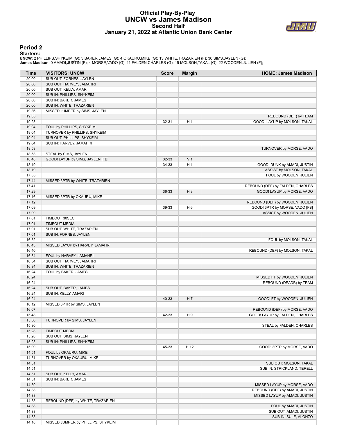## **Official Play-By-Play UNCW vs James Madison Second Half January 21, 2022 at Atlantic Union Bank Center**



#### **Period 2**

<mark>Starters:</mark><br>UNCW: 2 PHILLIPS,SHYKEIM (G); 3 BAKER,JAMES (G); 4 OKAURU,MIKE (G); 13 WHITE,TRAZARIEN (F); 30 SIMS,JAYLEN (G);<br>James Madison: 0 AMADI,JUSTIN (F); 4 MORSE,VADO (G); 11 FALDEN,CHARLES (G); 15 MOLSON,TAKAL (G);

| Time           | <b>VISITORS: UNCW</b>              | <b>Score</b> | <b>Margin</b>  | <b>HOME: James Madison</b>       |
|----------------|------------------------------------|--------------|----------------|----------------------------------|
| 20:00          | SUB OUT: FORNES, JAYLEN            |              |                |                                  |
| 20:00          | SUB OUT: HARVEY, JAMAHRI           |              |                |                                  |
| 20:00          | SUB OUT: KELLY, AMARI              |              |                |                                  |
| 20:00          | SUB IN: PHILLIPS, SHYKEIM          |              |                |                                  |
| 20:00          | SUB IN: BAKER, JAMES               |              |                |                                  |
| 20:00          | SUB IN: WHITE, TRAZARIEN           |              |                |                                  |
| 19:36          | MISSED JUMPER by SIMS, JAYLEN      |              |                |                                  |
| 19:35          |                                    |              |                | REBOUND (DEF) by TEAM            |
| 19:23          |                                    | 32-31        | H <sub>1</sub> | GOOD! LAYUP by MOLSON, TAKAL     |
| 19:04          | FOUL by PHILLIPS, SHYKEIM          |              |                |                                  |
| 19:04          | TURNOVER by PHILLIPS, SHYKEIM      |              |                |                                  |
| 19:04          | SUB OUT: PHILLIPS, SHYKEIM         |              |                |                                  |
| 19:04          | SUB IN: HARVEY, JAMAHRI            |              |                |                                  |
| 18:53          |                                    |              |                | TURNOVER by MORSE, VADO          |
| 18:53          | STEAL by SIMS, JAYLEN              |              |                |                                  |
| 18:48          | GOOD! LAYUP by SIMS, JAYLEN [FB]   | 32-33        | V <sub>1</sub> |                                  |
| 18:19          |                                    | 34-33        | H <sub>1</sub> | GOOD! DUNK by AMADI, JUSTIN      |
| 18:19          |                                    |              |                | ASSIST by MOLSON, TAKAL          |
| 17:55          |                                    |              |                | FOUL by WOODEN, JULIEN           |
| 17:44          | MISSED 3PTR by WHITE, TRAZARIEN    |              |                |                                  |
| 17:41          |                                    |              |                | REBOUND (DEF) by FALDEN, CHARLES |
| 17:29          |                                    | 36-33        | $H_3$          | GOOD! LAYUP by MORSE, VADO       |
| 17:16          | MISSED 3PTR by OKAURU, MIKE        |              |                |                                  |
| 17:12          |                                    |              |                | REBOUND (DEF) by WOODEN, JULIEN  |
| 17:09          |                                    | 39-33        | H <sub>6</sub> | GOOD! 3PTR by MORSE, VADO [FB]   |
| 17:09          |                                    |              |                | ASSIST by WOODEN, JULIEN         |
| 17:01          | TIMEOUT 30SEC                      |              |                |                                  |
| 17:01          | <b>TIMEOUT MEDIA</b>               |              |                |                                  |
| 17:01          | SUB OUT: WHITE, TRAZARIEN          |              |                |                                  |
| 17:01          | SUB IN: FORNES, JAYLEN             |              |                |                                  |
| 16:52          |                                    |              |                | FOUL by MOLSON, TAKAL            |
| 16:43          | MISSED LAYUP by HARVEY, JAMAHRI    |              |                |                                  |
| 16:40          |                                    |              |                | REBOUND (DEF) by MOLSON, TAKAL   |
| 16:34          | FOUL by HARVEY, JAMAHRI            |              |                |                                  |
| 16:34          | SUB OUT: HARVEY, JAMAHRI           |              |                |                                  |
| 16:34          | SUB IN: WHITE, TRAZARIEN           |              |                |                                  |
| 16:24          | FOUL by BAKER, JAMES               |              |                |                                  |
| 16:24          |                                    |              |                | MISSED FT by WOODEN, JULIEN      |
| 16:24          |                                    |              |                | REBOUND (DEADB) by TEAM          |
| 16:24          | SUB OUT: BAKER, JAMES              |              |                |                                  |
| 16:24          | SUB IN: KELLY, AMARI               |              |                |                                  |
| 16:24          |                                    | 40-33        | H 7            | GOOD! FT by WOODEN, JULIEN       |
| 16:12          | MISSED 3PTR by SIMS, JAYLEN        |              |                |                                  |
| 16:07          |                                    |              |                | REBOUND (DEF) by MORSE, VADO     |
| 15:48          |                                    | 42-33        | H 9            | GOOD! LAYUP by FALDEN, CHARLES   |
| 15:30<br>15:30 | TURNOVER by SIMS, JAYLEN           |              |                | STEAL by FALDEN, CHARLES         |
| 15:28          | <b>TIMEOUT MEDIA</b>               |              |                |                                  |
| 15:28          | SUB OUT: SIMS, JAYLEN              |              |                |                                  |
| 15:28          | SUB IN: PHILLIPS, SHYKEIM          |              |                |                                  |
| 15:09          |                                    | 45-33        | H 12           | GOOD! 3PTR by MORSE, VADO        |
| 14:51          | FOUL by OKAURU, MIKE               |              |                |                                  |
| 14:51          | TURNOVER by OKAURU, MIKE           |              |                |                                  |
| 14:51          |                                    |              |                | SUB OUT: MOLSON, TAKAL           |
| 14:51          |                                    |              |                | SUB IN: STRICKLAND, TERELL       |
| 14:51          | SUB OUT: KELLY, AMARI              |              |                |                                  |
| 14:51          | SUB IN: BAKER, JAMES               |              |                |                                  |
| 14:39          |                                    |              |                | MISSED LAYUP by MORSE, VADO      |
| 14:38          |                                    |              |                | REBOUND (OFF) by AMADI, JUSTIN   |
| 14:38          |                                    |              |                | MISSED LAYUP by AMADI, JUSTIN    |
| 14:38          | REBOUND (DEF) by WHITE, TRAZARIEN  |              |                |                                  |
| 14:38          |                                    |              |                | FOUL by AMADI, JUSTIN            |
| 14:38          |                                    |              |                | SUB OUT: AMADI, JUSTIN           |
| 14:38          |                                    |              |                | SUB IN: SULE, ALONZO             |
| 14:18          | MISSED JUMPER by PHILLIPS, SHYKEIM |              |                |                                  |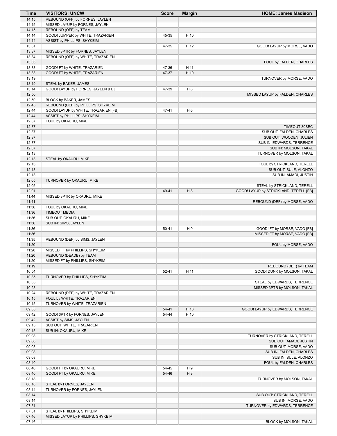| Time  | <b>VISITORS: UNCW</b>                | <b>Score</b> | <b>Margin</b>  | <b>HOME: James Madison</b>             |
|-------|--------------------------------------|--------------|----------------|----------------------------------------|
| 14:15 | REBOUND (OFF) by FORNES, JAYLEN      |              |                |                                        |
| 14:15 | MISSED LAYUP by FORNES, JAYLEN       |              |                |                                        |
| 14:15 | REBOUND (OFF) by TEAM                |              |                |                                        |
| 14:14 | GOOD! JUMPER by WHITE, TRAZARIEN     | 45-35        | H 10           |                                        |
| 14:14 | ASSIST by PHILLIPS, SHYKEIM          |              |                |                                        |
| 13:51 |                                      | 47-35        | H 12           | GOOD! LAYUP by MORSE, VADO             |
| 13:37 | MISSED 3PTR by FORNES, JAYLEN        |              |                |                                        |
| 13:34 | REBOUND (OFF) by WHITE, TRAZARIEN    |              |                |                                        |
| 13:33 |                                      |              |                | FOUL by FALDEN, CHARLES                |
| 13:33 | GOOD! FT by WHITE, TRAZARIEN         | 47-36        | H 11           |                                        |
| 13:33 | GOOD! FT by WHITE, TRAZARIEN         | 47-37        | H 10           |                                        |
| 13:19 |                                      |              |                | TURNOVER by MORSE, VADO                |
| 13:19 | STEAL by BAKER, JAMES                |              |                |                                        |
| 13:14 | GOOD! LAYUP by FORNES, JAYLEN [FB]   | 47-39        | H <sub>8</sub> |                                        |
| 12:50 |                                      |              |                | MISSED LAYUP by FALDEN, CHARLES        |
| 12:50 | BLOCK by BAKER, JAMES                |              |                |                                        |
| 12:45 | REBOUND (DEF) by PHILLIPS, SHYKEIM   |              |                |                                        |
| 12:44 | GOOD! LAYUP by WHITE, TRAZARIEN [FB] | 47-41        | H <sub>6</sub> |                                        |
| 12:44 | ASSIST by PHILLIPS, SHYKEIM          |              |                |                                        |
| 12:37 | FOUL by OKAURU, MIKE                 |              |                |                                        |
| 12:37 |                                      |              |                | TIMEOUT 30SEC                          |
| 12:37 |                                      |              |                | SUB OUT: FALDEN, CHARLES               |
| 12:37 |                                      |              |                | SUB OUT: WOODEN, JULIEN                |
| 12:37 |                                      |              |                | SUB IN: EDWARDS, TERRENCE              |
| 12:37 |                                      |              |                | SUB IN: MOLSON, TAKAL                  |
| 12:13 |                                      |              |                | TURNOVER by MOLSON, TAKAL              |
| 12:13 | STEAL by OKAURU, MIKE                |              |                |                                        |
| 12:13 |                                      |              |                | FOUL by STRICKLAND, TERELL             |
| 12:13 |                                      |              |                | SUB OUT: SULE, ALONZO                  |
| 12:13 |                                      |              |                | SUB IN: AMADI, JUSTIN                  |
| 12:05 | TURNOVER by OKAURU, MIKE             |              |                |                                        |
| 12:05 |                                      |              |                | STEAL by STRICKLAND, TERELL            |
| 12:01 |                                      | 49-41        | H 8            | GOOD! LAYUP by STRICKLAND, TERELL [FB] |
| 11:44 | MISSED 3PTR by OKAURU, MIKE          |              |                |                                        |
| 11:41 |                                      |              |                | REBOUND (DEF) by MORSE, VADO           |
| 11:36 | FOUL by OKAURU, MIKE                 |              |                |                                        |
| 11:36 | <b>TIMEOUT MEDIA</b>                 |              |                |                                        |
| 11:36 | SUB OUT: OKAURU, MIKE                |              |                |                                        |
| 11:36 | SUB IN: SIMS, JAYLEN                 |              |                |                                        |
| 11:36 |                                      | $50 - 41$    | H 9            | GOOD! FT by MORSE, VADO [FB]           |
| 11:36 |                                      |              |                | MISSED FT by MORSE, VADO [FB]          |
| 11:35 | REBOUND (DEF) by SIMS, JAYLEN        |              |                |                                        |
| 11:20 |                                      |              |                | FOUL by MORSE, VADO                    |
| 11:20 | MISSED FT by PHILLIPS, SHYKEIM       |              |                |                                        |
| 11:20 | REBOUND (DEADB) by TEAM              |              |                |                                        |
| 11:20 | MISSED FT by PHILLIPS, SHYKEIM       |              |                |                                        |
| 11:19 |                                      |              |                | REBOUND (DEF) by TEAM                  |
| 10:54 |                                      | 52-41        | H 11           | GOOD! DUNK by MOLSON, TAKAL            |
| 10:35 | TURNOVER by PHILLIPS, SHYKEIM        |              |                |                                        |
| 10:35 |                                      |              |                | STEAL by EDWARDS, TERRENCE             |
| 10:28 |                                      |              |                | MISSED 3PTR by MOLSON, TAKAL           |
| 10:24 | REBOUND (DEF) by WHITE, TRAZARIEN    |              |                |                                        |
| 10:15 | FOUL by WHITE, TRAZARIEN             |              |                |                                        |
| 10:15 | TURNOVER by WHITE, TRAZARIEN         |              |                |                                        |
| 09:55 |                                      | 54-41        | H 13           | GOOD! LAYUP by EDWARDS, TERRENCE       |
| 09:42 | GOOD! 3PTR by FORNES, JAYLEN         | 54-44        | H 10           |                                        |
| 09:42 | ASSIST by SIMS, JAYLEN               |              |                |                                        |
| 09:15 | SUB OUT: WHITE, TRAZARIEN            |              |                |                                        |
| 09:15 | SUB IN: OKAURU, MIKE                 |              |                |                                        |
| 09:08 |                                      |              |                | TURNOVER by STRICKLAND, TERELL         |
| 09:08 |                                      |              |                | SUB OUT: AMADI, JUSTIN                 |
| 09:08 |                                      |              |                | SUB OUT: MORSE, VADO                   |
| 09:08 |                                      |              |                | SUB IN: FALDEN, CHARLES                |
| 09:08 |                                      |              |                | SUB IN: SULE, ALONZO                   |
| 08:40 |                                      |              |                | FOUL by FALDEN, CHARLES                |
| 08:40 | GOOD! FT by OKAURU, MIKE             | 54-45        | H 9            |                                        |
| 08:40 | GOOD! FT by OKAURU, MIKE             | 54-46        | H 8            |                                        |
| 08:18 |                                      |              |                | TURNOVER by MOLSON, TAKAL              |
| 08:18 | STEAL by FORNES, JAYLEN              |              |                |                                        |
| 08:14 | TURNOVER by FORNES, JAYLEN           |              |                |                                        |
| 08:14 |                                      |              |                | SUB OUT: STRICKLAND, TERELL            |
| 08:14 |                                      |              |                | SUB IN: MORSE, VADO                    |
| 07:51 |                                      |              |                | TURNOVER by EDWARDS, TERRENCE          |
| 07:51 | STEAL by PHILLIPS, SHYKEIM           |              |                |                                        |
| 07:46 | MISSED LAYUP by PHILLIPS, SHYKEIM    |              |                |                                        |
|       |                                      |              |                | BLOCK by MOLSON, TAKAL                 |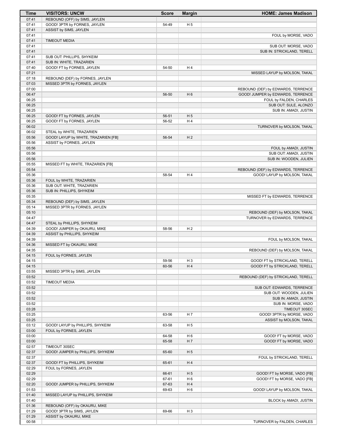| Time           | <b>VISITORS: UNCW</b>                | <b>Score</b> | <b>Margin</b>  | <b>HOME: James Madison</b>                                         |
|----------------|--------------------------------------|--------------|----------------|--------------------------------------------------------------------|
| 07:41          | REBOUND (OFF) by SIMS, JAYLEN        |              |                |                                                                    |
| 07:41          | GOOD! 3PTR by FORNES, JAYLEN         | 54-49        | H <sub>5</sub> |                                                                    |
| 07:41          | ASSIST by SIMS, JAYLEN               |              |                |                                                                    |
| 07:41          |                                      |              |                | FOUL by MORSE, VADO                                                |
| 07:41          | <b>TIMEOUT MEDIA</b>                 |              |                |                                                                    |
| 07:41<br>07:41 |                                      |              |                | SUB OUT: MORSE, VADO<br>SUB IN: STRICKLAND, TERELL                 |
| 07:41          | SUB OUT: PHILLIPS, SHYKEIM           |              |                |                                                                    |
| 07:41          | SUB IN: WHITE, TRAZARIEN             |              |                |                                                                    |
| 07:40          | GOOD! FT by FORNES, JAYLEN           | 54-50        | H4             |                                                                    |
| 07:21          |                                      |              |                | MISSED LAYUP by MOLSON, TAKAL                                      |
| 07:18          | REBOUND (DEF) by FORNES, JAYLEN      |              |                |                                                                    |
| 07:03          | MISSED 3PTR by FORNES, JAYLEN        |              |                |                                                                    |
| 07:00          |                                      |              |                | REBOUND (DEF) by EDWARDS, TERRENCE                                 |
| 06:47          |                                      | 56-50        | H <sub>6</sub> | GOOD! JUMPER by EDWARDS, TERRENCE                                  |
| 06:25          |                                      |              |                | FOUL by FALDEN, CHARLES                                            |
| 06:25<br>06:25 |                                      |              |                | SUB OUT: SULE, ALONZO<br>SUB IN: AMADI, JUSTIN                     |
| 06:25          | GOOD! FT by FORNES, JAYLEN           | 56-51        | H <sub>5</sub> |                                                                    |
| 06:25          | GOOD! FT by FORNES, JAYLEN           | 56-52        | H4             |                                                                    |
| 06:02          |                                      |              |                | TURNOVER by MOLSON, TAKAL                                          |
| 06:02          | STEAL by WHITE, TRAZARIEN            |              |                |                                                                    |
| 05:56          | GOOD! LAYUP by WHITE, TRAZARIEN [FB] | 56-54        | H <sub>2</sub> |                                                                    |
| 05:56          | ASSIST by FORNES, JAYLEN             |              |                |                                                                    |
| 05:56          |                                      |              |                | FOUL by AMADI, JUSTIN                                              |
| 05:56          |                                      |              |                | SUB OUT: AMADI, JUSTIN                                             |
| 05:56          |                                      |              |                | SUB IN: WOODEN, JULIEN                                             |
| 05:55          | MISSED FT by WHITE, TRAZARIEN [FB]   |              |                |                                                                    |
| 05:54<br>05:36 |                                      | 58-54        | H4             | REBOUND (DEF) by EDWARDS, TERRENCE<br>GOOD! LAYUP by MOLSON, TAKAL |
| 05:36          | FOUL by WHITE, TRAZARIEN             |              |                |                                                                    |
| 05:36          | SUB OUT: WHITE, TRAZARIEN            |              |                |                                                                    |
| 05:36          | SUB IN: PHILLIPS, SHYKEIM            |              |                |                                                                    |
| 05:35          |                                      |              |                | MISSED FT by EDWARDS, TERRENCE                                     |
| 05:34          | REBOUND (DEF) by SIMS, JAYLEN        |              |                |                                                                    |
| 05:14          | MISSED 3PTR by FORNES, JAYLEN        |              |                |                                                                    |
| 05:10          |                                      |              |                | REBOUND (DEF) by MOLSON, TAKAL                                     |
| 04:47          |                                      |              |                | TURNOVER by EDWARDS, TERRENCE                                      |
| 04:47          | STEAL by PHILLIPS, SHYKEIM           |              |                |                                                                    |
| 04:39          | GOOD! JUMPER by OKAURU, MIKE         | 58-56        | H <sub>2</sub> |                                                                    |
| 04:39<br>04:39 | ASSIST by PHILLIPS, SHYKEIM          |              |                | FOUL by MOLSON, TAKAL                                              |
| 04:36          | MISSED FT by OKAURU, MIKE            |              |                |                                                                    |
| 04:35          |                                      |              |                | REBOUND (DEF) by MOLSON, TAKAL                                     |
| 04:15          | FOUL by FORNES, JAYLEN               |              |                |                                                                    |
| 04:15          |                                      | 59-56        | H <sub>3</sub> | GOOD! FT by STRICKLAND, TERELL                                     |
| 04:15          |                                      | 60-56        | H 4            | GOOD! FT by STRICKLAND, TERELL                                     |
| 03:55          | MISSED 3PTR by SIMS, JAYLEN          |              |                |                                                                    |
| 03:52          |                                      |              |                | REBOUND (DEF) by STRICKLAND, TERELL                                |
| 03:52          | <b>TIMEOUT MEDIA</b>                 |              |                |                                                                    |
| 03:52          |                                      |              |                | SUB OUT: EDWARDS, TERRENCE                                         |
| 03:52<br>03:52 |                                      |              |                | SUB OUT: WOODEN, JULIEN<br>SUB IN: AMADI, JUSTIN                   |
| 03:52          |                                      |              |                | SUB IN: MORSE, VADO                                                |
| 03:28          |                                      |              |                | TIMEOUT 30SEC                                                      |
| 03:25          |                                      | 63-56        | H 7            | GOOD! 3PTR by MORSE, VADO                                          |
| 03:25          |                                      |              |                | ASSIST by MOLSON, TAKAL                                            |
| 03:12          | GOOD! LAYUP by PHILLIPS, SHYKEIM     | 63-58        | H <sub>5</sub> |                                                                    |
| 03:00          | FOUL by FORNES, JAYLEN               |              |                |                                                                    |
| 03:00          |                                      | 64-58        | H <sub>6</sub> | GOOD! FT by MORSE, VADO                                            |
| 03:00          |                                      | 65-58        | H 7            | GOOD! FT by MORSE, VADO                                            |
| 02:57          | TIMEOUT 30SEC                        |              |                |                                                                    |
| 02:37          | GOOD! JUMPER by PHILLIPS, SHYKEIM    | 65-60        | H <sub>5</sub> |                                                                    |
| 02:37<br>02:37 | GOOD! FT by PHILLIPS, SHYKEIM        | 65-61        | H4             | FOUL by STRICKLAND, TERELL                                         |
| 02:29          | FOUL by FORNES, JAYLEN               |              |                |                                                                    |
| 02:29          |                                      | 66-61        | H <sub>5</sub> | GOOD! FT by MORSE, VADO [FB]                                       |
| 02:29          |                                      | 67-61        | H <sub>6</sub> | GOOD! FT by MORSE, VADO [FB]                                       |
| 02:20          | GOOD! JUMPER by PHILLIPS, SHYKEIM    | 67-63        | H4             |                                                                    |
| 01:53          |                                      | 69-63        | H <sub>6</sub> | GOOD! LAYUP by MOLSON, TAKAL                                       |
| 01:40          | MISSED LAYUP by PHILLIPS, SHYKEIM    |              |                |                                                                    |
| 01:40          |                                      |              |                | BLOCK by AMADI, JUSTIN                                             |
| 01:36          | REBOUND (OFF) by OKAURU, MIKE        |              |                |                                                                    |
| 01:29          | GOOD! 3PTR by SIMS, JAYLEN           | 69-66        | H <sub>3</sub> |                                                                    |
| 01:29<br>00:58 | ASSIST by OKAURU, MIKE               |              |                | TURNOVER by FALDEN, CHARLES                                        |
|                |                                      |              |                |                                                                    |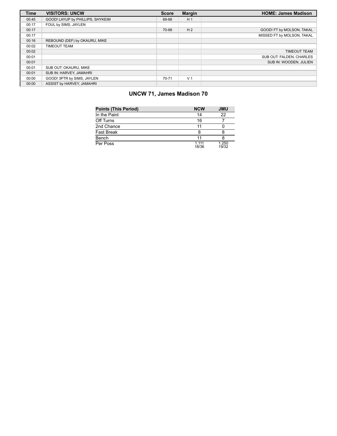| <b>Time</b> | <b>VISITORS: UNCW</b>            | <b>Score</b> | <b>Margin</b>  | <b>HOME: James Madison</b> |
|-------------|----------------------------------|--------------|----------------|----------------------------|
| 00:45       | GOOD! LAYUP by PHILLIPS, SHYKEIM | 69-68        | H <sub>1</sub> |                            |
| 00:17       | FOUL by SIMS, JAYLEN             |              |                |                            |
| 00:17       |                                  | 70-68        | H <sub>2</sub> | GOOD! FT by MOLSON, TAKAL  |
| 00:17       |                                  |              |                | MISSED FT by MOLSON, TAKAL |
| 00:16       | REBOUND (DEF) by OKAURU, MIKE    |              |                |                            |
| 00:02       | <b>TIMEOUT TEAM</b>              |              |                |                            |
| 00:02       |                                  |              |                | <b>TIMEOUT TEAM</b>        |
| 00:01       |                                  |              |                | SUB OUT: FALDEN, CHARLES   |
| 00:01       |                                  |              |                | SUB IN: WOODEN, JULIEN     |
| 00:01       | SUB OUT: OKAURU, MIKE            |              |                |                            |
| 00:01       | SUB IN: HARVEY, JAMAHRI          |              |                |                            |
| 00:00       | GOOD! 3PTR by SIMS, JAYLEN       | 70-71        | V <sub>1</sub> |                            |
| 00:00       | ASSIST by HARVEY, JAMAHRI        |              |                |                            |

# **UNCW 71, James Madison 70**

| <b>Points (This Period)</b> | <b>NCW</b>       | <b>JMU</b>     |
|-----------------------------|------------------|----------------|
| In the Paint                | 14               | 22             |
| Off Turns                   | 16               |                |
| 2nd Chance                  | 11               |                |
| <b>Fast Break</b>           | 8                |                |
| Bench                       | 11               |                |
| Per Poss                    | 1 1 1 1<br>18/36 | 1.250<br>19/32 |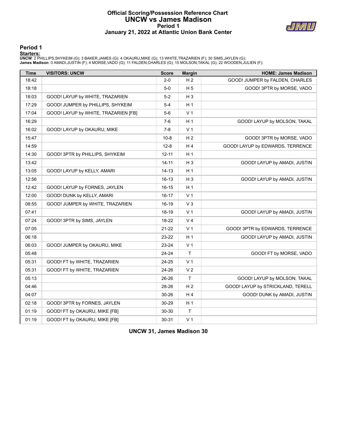### **Official Scoring/Possession Reference Chart UNCW vs James Madison Period 1 January 21, 2022 at Atlantic Union Bank Center**



**Period 1**

<mark>Starters:</mark><br>UNCW: 2 PHILLIPS,SHYKEIM (G); 3 BAKER,JAMES (G); 4 OKAURU,MIKE (G); 13 WHITE,TRAZARIEN (F); 30 SIMS,JAYLEN (G);<br>James Madison: 0 AMADI,JUSTIN (F); 4 MORSE,VADO (G); 11 FALDEN,CHARLES (G); 15 MOLSON,TAKAL (G);

| <b>Time</b> | <b>VISITORS: UNCW</b>                | <b>Score</b> | <b>Margin</b>  | <b>HOME: James Madison</b>        |
|-------------|--------------------------------------|--------------|----------------|-----------------------------------|
| 18:42       |                                      | $2 - 0$      | H <sub>2</sub> | GOOD! JUMPER by FALDEN, CHARLES   |
| 18:18       |                                      | $5-0$        | H <sub>5</sub> | GOOD! 3PTR by MORSE, VADO         |
| 18:03       | GOOD! LAYUP by WHITE, TRAZARIEN      | $5-2$        | $H_3$          |                                   |
| 17:29       | GOOD! JUMPER by PHILLIPS, SHYKEIM    | $5 - 4$      | H <sub>1</sub> |                                   |
| 17:04       | GOOD! LAYUP by WHITE, TRAZARIEN [FB] | $5-6$        | V <sub>1</sub> |                                   |
| 16:29       |                                      | $7-6$        | H <sub>1</sub> | GOOD! LAYUP by MOLSON, TAKAL      |
| 16:02       | GOOD! LAYUP by OKAURU, MIKE          | $7 - 8$      | V <sub>1</sub> |                                   |
| 15:47       |                                      | $10 - 8$     | H <sub>2</sub> | GOOD! 3PTR by MORSE, VADO         |
| 14:59       |                                      | $12 - 8$     | H4             | GOOD! LAYUP by EDWARDS, TERRENCE  |
| 14:30       | GOOD! 3PTR by PHILLIPS, SHYKEIM      | $12 - 11$    | H <sub>1</sub> |                                   |
| 13:42       |                                      | $14 - 11$    | $H_3$          | GOOD! LAYUP by AMADI, JUSTIN      |
| 13:05       | GOOD! LAYUP by KELLY, AMARI          | $14 - 13$    | H <sub>1</sub> |                                   |
| 12:56       |                                      | $16-13$      | $H_3$          | GOOD! LAYUP by AMADI, JUSTIN      |
| 12:42       | GOOD! LAYUP by FORNES, JAYLEN        | $16 - 15$    | H <sub>1</sub> |                                   |
| 12:00       | GOOD! DUNK by KELLY, AMARI           | 16-17        | V <sub>1</sub> |                                   |
| 08:55       | GOOD! JUMPER by WHITE, TRAZARIEN     | 16-19        | $V_3$          |                                   |
| 07:41       |                                      | 18-19        | V <sub>1</sub> | GOOD! LAYUP by AMADI, JUSTIN      |
| 07:24       | GOOD! 3PTR by SIMS, JAYLEN           | 18-22        | V <sub>4</sub> |                                   |
| 07:05       |                                      | 21-22        | V <sub>1</sub> | GOOD! 3PTR by EDWARDS, TERRENCE   |
| 06:18       |                                      | 23-22        | H <sub>1</sub> | GOOD! LAYUP by AMADI, JUSTIN      |
| 06:03       | GOOD! JUMPER by OKAURU, MIKE         | 23-24        | V <sub>1</sub> |                                   |
| 05:48       |                                      | 24-24        | T              | GOOD! FT by MORSE, VADO           |
| 05:31       | GOOD! FT by WHITE, TRAZARIEN         | 24-25        | V <sub>1</sub> |                                   |
| 05:31       | GOOD! FT by WHITE, TRAZARIEN         | 24-26        | V <sub>2</sub> |                                   |
| 05:13       |                                      | 26-26        | T              | GOOD! LAYUP by MOLSON, TAKAL      |
| 04:46       |                                      | 28-26        | H <sub>2</sub> | GOOD! LAYUP by STRICKLAND, TERELL |
| 04:07       |                                      | 30-26        | H4             | GOOD! DUNK by AMADI, JUSTIN       |
| 02:18       | GOOD! 3PTR by FORNES, JAYLEN         | 30-29        | H <sub>1</sub> |                                   |
| 01:19       | GOOD! FT by OKAURU, MIKE [FB]        | 30-30        | Τ              |                                   |
| 01:19       | GOOD! FT by OKAURU, MIKE [FB]        | 30-31        | V <sub>1</sub> |                                   |

**UNCW 31, James Madison 30**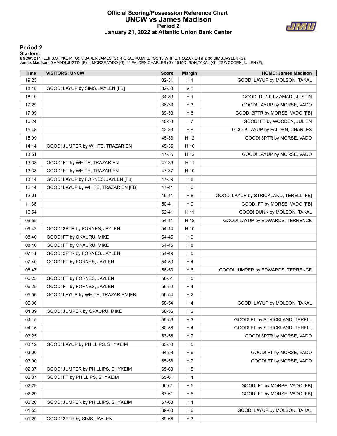### **Official Scoring/Possession Reference Chart UNCW vs James Madison Period 2 January 21, 2022 at Atlantic Union Bank Center**



### **Period 2**

#### **Starters:**

**UNCW**: 2 PHILLIPS,SHYKEIM (G); 3 BAKER,JAMES (G); 4 OKAURU,MIKE (G); 13 WHITE,TRAZARIEN (F); 30 SIMS,JAYLEN (G);<br>**James Madison**: 0 AMADI,JUSTIN (F); 4 MORSE,VADO (G); 11 FALDEN,CHARLES (G); 15 MOLSON,TAKAL (G); 22 WOODEN

| Time  | <b>VISITORS: UNCW</b>                | <b>Score</b> | <b>Margin</b>  | <b>HOME: James Madison</b>             |
|-------|--------------------------------------|--------------|----------------|----------------------------------------|
| 19:23 |                                      | 32-31        | H <sub>1</sub> | GOOD! LAYUP by MOLSON, TAKAL           |
| 18:48 | GOOD! LAYUP by SIMS, JAYLEN [FB]     | 32-33        | V <sub>1</sub> |                                        |
| 18:19 |                                      | 34-33        | H <sub>1</sub> | GOOD! DUNK by AMADI, JUSTIN            |
| 17:29 |                                      | 36-33        | $H_3$          | GOOD! LAYUP by MORSE, VADO             |
| 17:09 |                                      | 39-33        | H <sub>6</sub> | GOOD! 3PTR by MORSE, VADO [FB]         |
| 16:24 |                                      | 40-33        | H 7            | GOOD! FT by WOODEN, JULIEN             |
| 15:48 |                                      | 42-33        | H 9            | GOOD! LAYUP by FALDEN, CHARLES         |
| 15:09 |                                      | 45-33        | H 12           | GOOD! 3PTR by MORSE, VADO              |
| 14:14 | GOOD! JUMPER by WHITE, TRAZARIEN     | 45-35        | H 10           |                                        |
| 13:51 |                                      | 47-35        | H 12           | GOOD! LAYUP by MORSE, VADO             |
| 13:33 | GOOD! FT by WHITE, TRAZARIEN         | 47-36        | H 11           |                                        |
| 13:33 | GOOD! FT by WHITE, TRAZARIEN         | 47-37        | H 10           |                                        |
| 13:14 | GOOD! LAYUP by FORNES, JAYLEN [FB]   | 47-39        | H 8            |                                        |
| 12:44 | GOOD! LAYUP by WHITE, TRAZARIEN [FB] | 47-41        | H <sub>6</sub> |                                        |
| 12:01 |                                      | 49-41        | H 8            | GOOD! LAYUP by STRICKLAND, TERELL [FB] |
| 11:36 |                                      | 50-41        | H 9            | GOOD! FT by MORSE, VADO [FB]           |
| 10:54 |                                      | $52 - 41$    | H 11           | GOOD! DUNK by MOLSON, TAKAL            |
| 09:55 |                                      | 54-41        | H 13           | GOOD! LAYUP by EDWARDS, TERRENCE       |
| 09:42 | GOOD! 3PTR by FORNES, JAYLEN         | 54-44        | H 10           |                                        |
| 08:40 | GOOD! FT by OKAURU, MIKE             | 54-45        | H 9            |                                        |
| 08:40 | GOOD! FT by OKAURU, MIKE             | 54-46        | H 8            |                                        |
| 07:41 | GOOD! 3PTR by FORNES, JAYLEN         | 54-49        | H <sub>5</sub> |                                        |
| 07:40 | GOOD! FT by FORNES, JAYLEN           | 54-50        | H4             |                                        |
| 06:47 |                                      | 56-50        | H <sub>6</sub> | GOOD! JUMPER by EDWARDS, TERRENCE      |
| 06:25 | GOOD! FT by FORNES, JAYLEN           | 56-51        | H <sub>5</sub> |                                        |
| 06:25 | GOOD! FT by FORNES, JAYLEN           | 56-52        | H4             |                                        |
| 05:56 | GOOD! LAYUP by WHITE, TRAZARIEN [FB] | 56-54        | H <sub>2</sub> |                                        |
| 05:36 |                                      | 58-54        | H 4            | GOOD! LAYUP by MOLSON, TAKAL           |
| 04:39 | GOOD! JUMPER by OKAURU, MIKE         | 58-56        | H <sub>2</sub> |                                        |
| 04:15 |                                      | 59-56        | $H_3$          | GOOD! FT by STRICKLAND, TERELL         |
| 04:15 |                                      | 60-56        | H 4            | GOOD! FT by STRICKLAND, TERELL         |
| 03:25 |                                      | 63-56        | H 7            | GOOD! 3PTR by MORSE, VADO              |
| 03:12 | GOOD! LAYUP by PHILLIPS, SHYKEIM     | 63-58        | H <sub>5</sub> |                                        |
| 03:00 |                                      | 64-58        | H <sub>6</sub> | GOOD! FT by MORSE, VADO                |
| 03:00 |                                      | 65-58        | H 7            | GOOD! FT by MORSE, VADO                |
| 02:37 | GOOD! JUMPER by PHILLIPS, SHYKEIM    | 65-60        | H <sub>5</sub> |                                        |
| 02:37 | GOOD! FT by PHILLIPS, SHYKEIM        | 65-61        | H 4            |                                        |
| 02:29 |                                      | 66-61        | H <sub>5</sub> | GOOD! FT by MORSE, VADO [FB]           |
| 02:29 |                                      | 67-61        | H <sub>6</sub> | GOOD! FT by MORSE, VADO [FB]           |
| 02:20 | GOOD! JUMPER by PHILLIPS, SHYKEIM    | 67-63        | H 4            |                                        |
| 01:53 |                                      | 69-63        | H <sub>6</sub> | GOOD! LAYUP by MOLSON, TAKAL           |
| 01:29 | GOOD! 3PTR by SIMS, JAYLEN           | 69-66        | H <sub>3</sub> |                                        |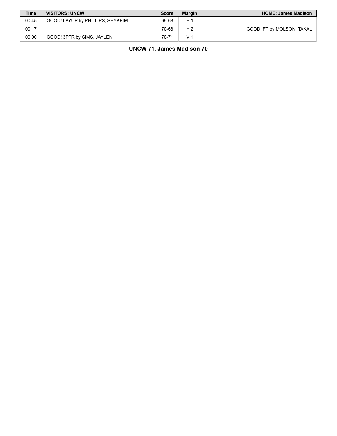| <b>Time</b> | <b>VISITORS: UNCW</b>            | <b>Score</b> | <b>Margin</b>  | <b>HOME: James Madison</b> |
|-------------|----------------------------------|--------------|----------------|----------------------------|
| 00:45       | GOOD! LAYUP by PHILLIPS, SHYKEIM | 69-68        | H 1            |                            |
| 00:17       |                                  | 70-68        | H <sub>2</sub> | GOOD! FT by MOLSON, TAKAL  |
| 00:00       | GOOD! 3PTR by SIMS, JAYLEN       | 70-71        | V              |                            |

**UNCW 71, James Madison 70**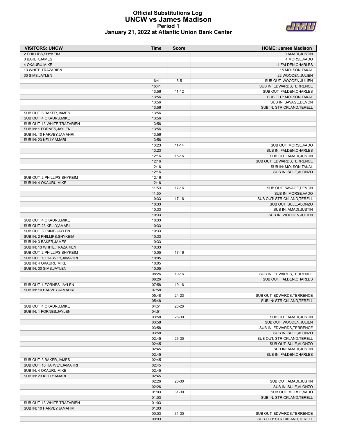#### **Official Substitutions Log UNCW vs James Madison Period 1 January 21, 2022 at Atlantic Union Bank Center**



| <b>VISITORS: UNCW</b>                                    | Time           | <b>Score</b> | <b>HOME: James Madison</b>                   |
|----------------------------------------------------------|----------------|--------------|----------------------------------------------|
| 2 PHILLIPS, SHYKEIM                                      |                |              | 0 AMADI, JUSTIN                              |
| 3 BAKER, JAMES                                           |                |              | 4 MORSE, VADO                                |
| 4 OKAURU, MIKE                                           |                |              | 11 FALDEN, CHARLES                           |
| 13 WHITE, TRAZARIEN                                      |                |              | 15 MOLSON, TAKAL                             |
| 30 SIMS, JAYLEN                                          |                |              | 22 WOODEN, JULIEN                            |
|                                                          | 16:41          | $6-5$        | SUB OUT: WOODEN, JULIEN                      |
|                                                          | 16:41          |              | SUB IN: EDWARDS, TERRENCE                    |
|                                                          | 13:56          | $11 - 12$    | SUB OUT: FALDEN, CHARLES                     |
|                                                          | 13:56          |              | SUB OUT: MOLSON, TAKAL                       |
|                                                          | 13:56          |              | SUB IN: SAVAGE, DEVON                        |
|                                                          | 13:56          |              | SUB IN: STRICKLAND, TERELL                   |
| SUB OUT: 3 BAKER, JAMES                                  | 13:56<br>13:56 |              |                                              |
| SUB OUT: 4 OKAURU, MIKE                                  |                |              |                                              |
| SUB OUT: 13 WHITE, TRAZARIEN<br>SUB IN: 1 FORNES, JAYLEN | 13:56<br>13:56 |              |                                              |
| SUB IN: 10 HARVEY, JAMAHRI                               | 13:56          |              |                                              |
| SUB IN: 23 KELLY, AMARI                                  | 13:56          |              |                                              |
|                                                          | 13:23          | $11 - 14$    | SUB OUT: MORSE, VADO                         |
|                                                          | 13:23          |              | SUB IN: FALDEN, CHARLES                      |
|                                                          | 12:16          | 15-16        | SUB OUT: AMADI, JUSTIN                       |
|                                                          | 12:16          |              | SUB OUT: EDWARDS, TERRENCE                   |
|                                                          | 12:16          |              | SUB IN: MOLSON, TAKAL                        |
|                                                          | 12:16          |              | SUB IN: SULE, ALONZO                         |
| SUB OUT: 2 PHILLIPS, SHYKEIM                             | 12:16          |              |                                              |
| SUB IN: 4 OKAURU.MIKE                                    | 12:16          |              |                                              |
|                                                          | 11:50          | $17-16$      | SUB OUT: SAVAGE, DEVON                       |
|                                                          | 11:50          |              | SUB IN: MORSE, VADO                          |
|                                                          | 10:33          | $17-16$      | SUB OUT: STRICKLAND, TERELL                  |
|                                                          | 10:33          |              | SUB OUT: SULE, ALONZO                        |
|                                                          | 10:33          |              | SUB IN: AMADI, JUSTIN                        |
|                                                          | 10:33          |              | SUB IN: WOODEN, JULIEN                       |
| SUB OUT: 4 OKAURU, MIKE                                  | 10:33          |              |                                              |
| SUB OUT: 23 KELLY, AMARI                                 | 10:33          |              |                                              |
| SUB OUT: 30 SIMS, JAYLEN                                 | 10:33          |              |                                              |
| SUB IN: 2 PHILLIPS, SHYKEIM                              | 10:33          |              |                                              |
| SUB IN: 3 BAKER, JAMES                                   | 10:33          |              |                                              |
| SUB IN: 13 WHITE, TRAZARIEN                              | 10:33          |              |                                              |
| SUB OUT: 2 PHILLIPS, SHYKEIM                             | 10:05          | $17-16$      |                                              |
| SUB OUT: 10 HARVEY, JAMAHRI                              | 10:05          |              |                                              |
| SUB IN: 4 OKAURU, MIKE                                   | 10:05          |              |                                              |
| SUB IN: 30 SIMS, JAYLEN                                  | 10:05          |              |                                              |
|                                                          | 08:26          | 19-16        | SUB IN: EDWARDS, TERRENCE                    |
|                                                          | 08:26          |              | SUB OUT: FALDEN, CHARLES                     |
| SUB OUT: 1 FORNES, JAYLEN                                | 07:58          | 19-16        |                                              |
| SUB IN: 10 HARVEY, JAMAHRI                               | 07:58          |              |                                              |
|                                                          | 05:48          | 24-23        | SUB OUT: EDWARDS, TERRENCE                   |
|                                                          | 05:48          |              | SUB IN: STRICKLAND, TERELL                   |
| SUB OUT: 4 OKAURU, MIKE                                  | 04:51          | 26-26        |                                              |
| SUB IN: 1 FORNES, JAYLEN                                 | 04:51          |              |                                              |
|                                                          | 03:58          | 26-30        | SUB OUT: AMADI, JUSTIN                       |
|                                                          | 03:58          |              | SUB OUT: WOODEN, JULIEN                      |
|                                                          | 03:58          |              | SUB IN: EDWARDS, TERRENCE                    |
|                                                          | 03:58          |              | SUB IN: SULE, ALONZO                         |
|                                                          | 02:45          | 26-30        | SUB OUT: STRICKLAND, TERELL                  |
|                                                          | 02:45          |              | SUB OUT: SULE, ALONZO                        |
|                                                          | 02:45          |              | SUB IN: AMADI, JUSTIN                        |
|                                                          | 02:45          |              | SUB IN: FALDEN, CHARLES                      |
| SUB OUT: 3 BAKER, JAMES                                  | 02:45          |              |                                              |
| SUB OUT: 10 HARVEY, JAMAHRI                              | 02:45          |              |                                              |
| SUB IN: 4 OKAURU, MIKE                                   | 02:45          |              |                                              |
| SUB IN: 23 KELLY, AMARI                                  | 02:45          |              |                                              |
|                                                          | 02:26<br>02:26 | 26-30        | SUB OUT: AMADI, JUSTIN                       |
|                                                          | 01:03          | 31-30        | SUB IN: SULE, ALONZO<br>SUB OUT: MORSE, VADO |
|                                                          | 01:03          |              | SUB IN: STRICKLAND, TERELL                   |
| SUB OUT: 13 WHITE, TRAZARIEN                             | 01:03          |              |                                              |
| SUB IN: 10 HARVEY, JAMAHRI                               | 01:03          |              |                                              |
|                                                          | 00:03          | 31-30        | SUB OUT: EDWARDS, TERRENCE                   |
|                                                          | 00:03          |              | SUB OUT: STRICKLAND, TERELL                  |
|                                                          |                |              |                                              |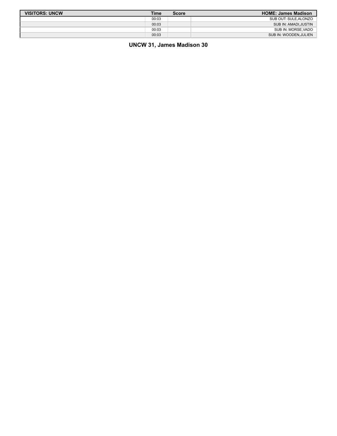| <b>VISITORS: UNCW</b> | <b>Time</b> | <b>Score</b> | <b>HOME: James Madison</b> |
|-----------------------|-------------|--------------|----------------------------|
|                       | 00:03       |              | SUB OUT: SULE.ALONZO       |
|                       | 00:03       |              | SUB IN: AMADI.JUSTIN       |
|                       | 00:03       |              | SUB IN: MORSE VADO         |
|                       | 00:03       |              | SUB IN: WOODEN, JULIEN     |

# **UNCW 31, James Madison 30**